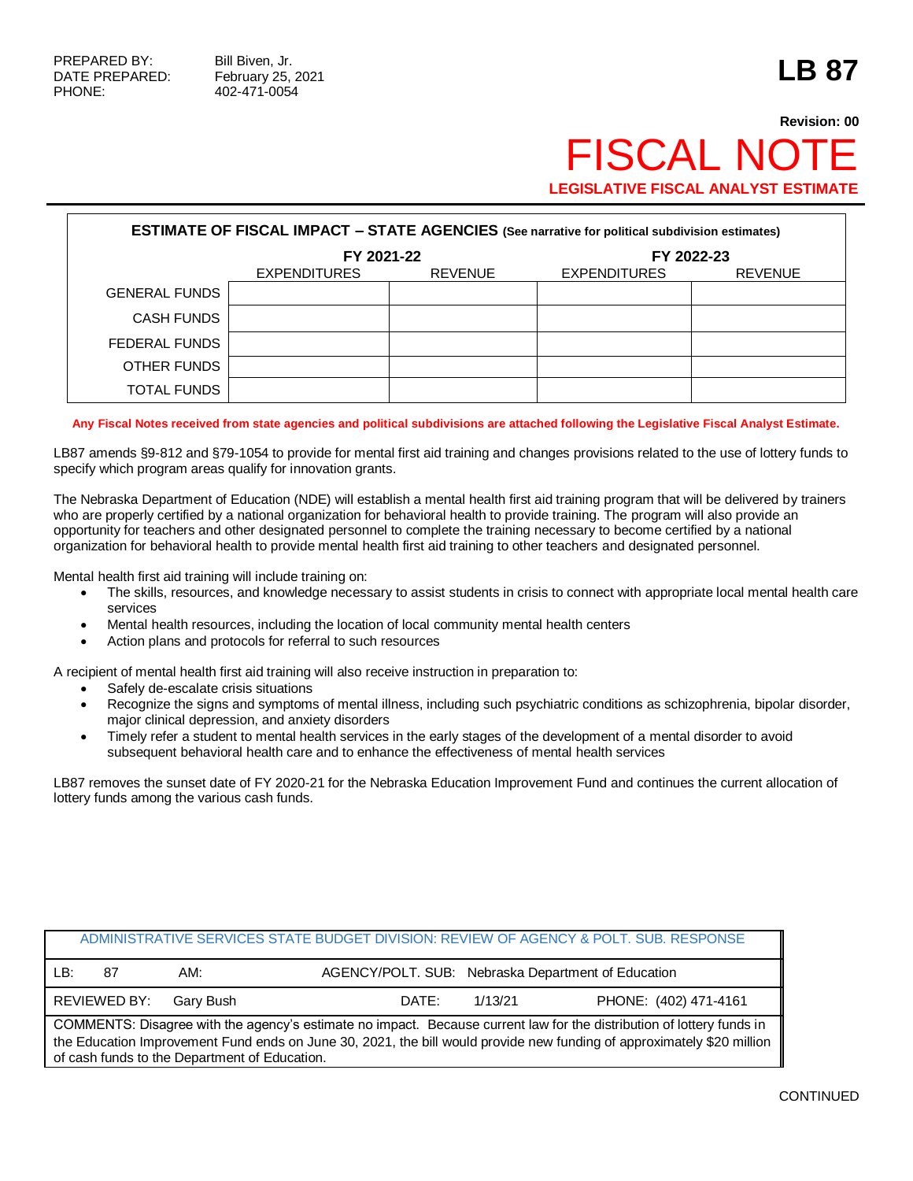# **Revision: 00 FISCAL NO LEGISLATIVE FISCAL ANALYST ESTIMATE**

|                      | <b>ESTIMATE OF FISCAL IMPACT - STATE AGENCIES (See narrative for political subdivision estimates)</b> |                |                     |                |  |  |  |  |  |
|----------------------|-------------------------------------------------------------------------------------------------------|----------------|---------------------|----------------|--|--|--|--|--|
|                      | FY 2021-22                                                                                            |                |                     | FY 2022-23     |  |  |  |  |  |
|                      | <b>EXPENDITURES</b>                                                                                   | <b>REVENUE</b> | <b>EXPENDITURES</b> | <b>REVENUE</b> |  |  |  |  |  |
| <b>GENERAL FUNDS</b> |                                                                                                       |                |                     |                |  |  |  |  |  |
| <b>CASH FUNDS</b>    |                                                                                                       |                |                     |                |  |  |  |  |  |
| FEDERAL FUNDS        |                                                                                                       |                |                     |                |  |  |  |  |  |
| OTHER FUNDS          |                                                                                                       |                |                     |                |  |  |  |  |  |
| TOTAL FUNDS          |                                                                                                       |                |                     |                |  |  |  |  |  |

**Any Fiscal Notes received from state agencies and political subdivisions are attached following the Legislative Fiscal Analyst Estimate.**

LB87 amends §9-812 and §79-1054 to provide for mental first aid training and changes provisions related to the use of lottery funds to specify which program areas qualify for innovation grants.

The Nebraska Department of Education (NDE) will establish a mental health first aid training program that will be delivered by trainers who are properly certified by a national organization for behavioral health to provide training. The program will also provide an opportunity for teachers and other designated personnel to complete the training necessary to become certified by a national organization for behavioral health to provide mental health first aid training to other teachers and designated personnel.

Mental health first aid training will include training on:

- The skills, resources, and knowledge necessary to assist students in crisis to connect with appropriate local mental health care services
- Mental health resources, including the location of local community mental health centers
- Action plans and protocols for referral to such resources

A recipient of mental health first aid training will also receive instruction in preparation to:

- Safely de-escalate crisis situations
- Recognize the signs and symptoms of mental illness, including such psychiatric conditions as schizophrenia, bipolar disorder, major clinical depression, and anxiety disorders
- Timely refer a student to mental health services in the early stages of the development of a mental disorder to avoid subsequent behavioral health care and to enhance the effectiveness of mental health services

LB87 removes the sunset date of FY 2020-21 for the Nebraska Education Improvement Fund and continues the current allocation of lottery funds among the various cash funds.

|     |              |                                               |       |         | ADMINISTRATIVE SERVICES STATE BUDGET DIVISION: REVIEW OF AGENCY & POLT. SUB. RESPONSE                                                                                                                                                           |
|-----|--------------|-----------------------------------------------|-------|---------|-------------------------------------------------------------------------------------------------------------------------------------------------------------------------------------------------------------------------------------------------|
| LB: | 87           | AM:                                           |       |         | AGENCY/POLT. SUB: Nebraska Department of Education                                                                                                                                                                                              |
|     | REVIEWED BY: | Garv Bush                                     | DATE: | 1/13/21 | PHONE: (402) 471-4161                                                                                                                                                                                                                           |
|     |              | of cash funds to the Department of Education. |       |         | COMMENTS: Disagree with the agency's estimate no impact. Because current law for the distribution of lottery funds in<br>the Education Improvement Fund ends on June 30, 2021, the bill would provide new funding of approximately \$20 million |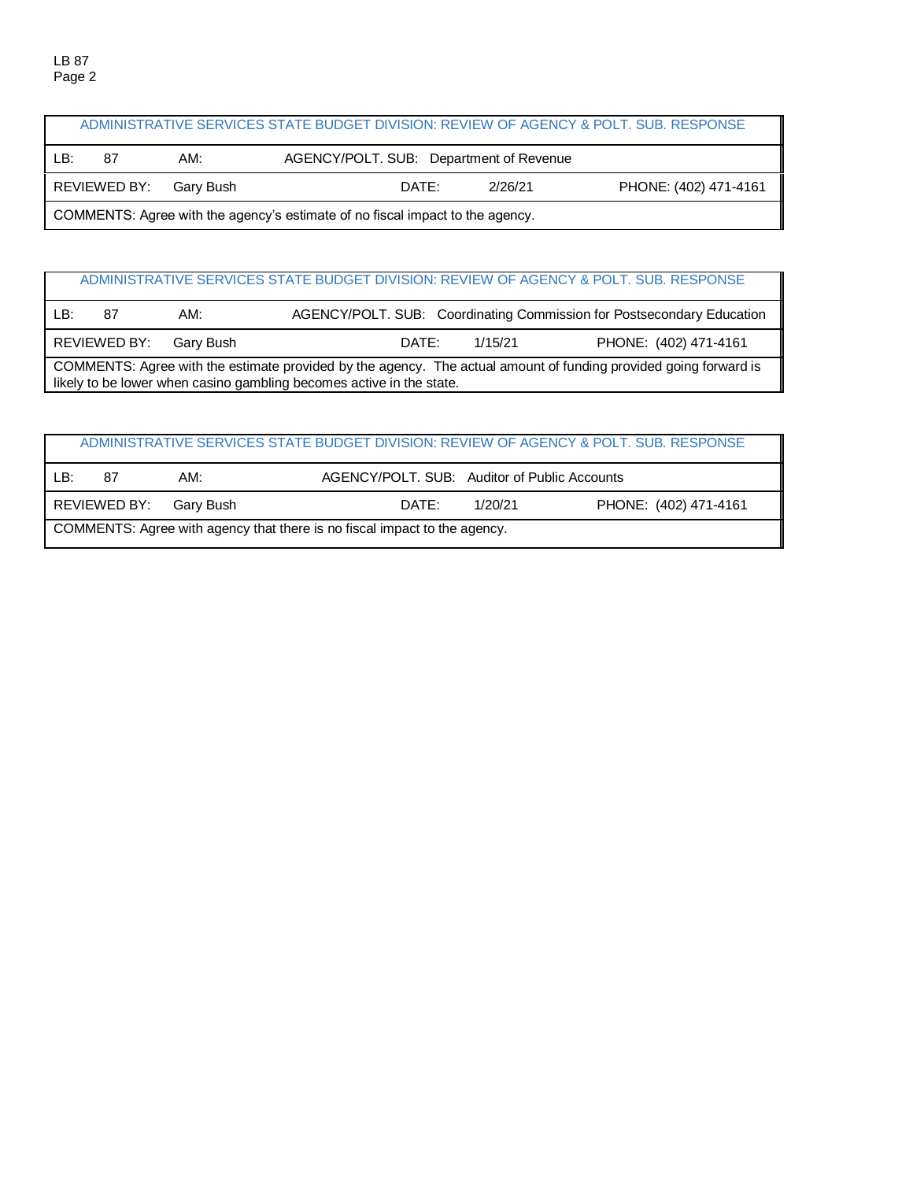|                                                                               | ADMINISTRATIVE SERVICES STATE BUDGET DIVISION: REVIEW OF AGENCY & POLT. SUB. RESPONSE |                        |                                         |  |         |                       |  |  |  |
|-------------------------------------------------------------------------------|---------------------------------------------------------------------------------------|------------------------|-----------------------------------------|--|---------|-----------------------|--|--|--|
| LB:                                                                           | 87                                                                                    | AM:                    | AGENCY/POLT. SUB: Department of Revenue |  |         |                       |  |  |  |
|                                                                               |                                                                                       | REVIEWED BY: Gary Bush | DATE:                                   |  | 2/26/21 | PHONE: (402) 471-4161 |  |  |  |
| COMMENTS: Agree with the agency's estimate of no fiscal impact to the agency. |                                                                                       |                        |                                         |  |         |                       |  |  |  |

## ADMINISTRATIVE SERVICES STATE BUDGET DIVISION: REVIEW OF AGENCY & POLT. SUB. RESPONSE

| LB: | 87                                                                                                                                                                                       | AM:       |       |         | AGENCY/POLT. SUB: Coordinating Commission for Postsecondary Education |  |  |  |  |
|-----|------------------------------------------------------------------------------------------------------------------------------------------------------------------------------------------|-----------|-------|---------|-----------------------------------------------------------------------|--|--|--|--|
|     | REVIEWED BY:                                                                                                                                                                             | Garv Bush | DATE: | 1/15/21 | PHONE: (402) 471-4161                                                 |  |  |  |  |
|     | COMMENTS: Agree with the estimate provided by the agency. The actual amount of funding provided going forward is<br>likely to be lower when casino gambling becomes active in the state. |           |       |         |                                                                       |  |  |  |  |

|                                                                           |    |                        |                                              |         | ADMINISTRATIVE SERVICES STATE BUDGET DIVISION: REVIEW OF AGENCY & POLT. SUB. RESPONSE |  |  |
|---------------------------------------------------------------------------|----|------------------------|----------------------------------------------|---------|---------------------------------------------------------------------------------------|--|--|
| LB:                                                                       | 87 | AM:                    | AGENCY/POLT, SUB: Auditor of Public Accounts |         |                                                                                       |  |  |
|                                                                           |    | REVIEWED BY: Gary Bush | DATE:                                        | 1/20/21 | PHONE: (402) 471-4161                                                                 |  |  |
| COMMENTS: Agree with agency that there is no fiscal impact to the agency. |    |                        |                                              |         |                                                                                       |  |  |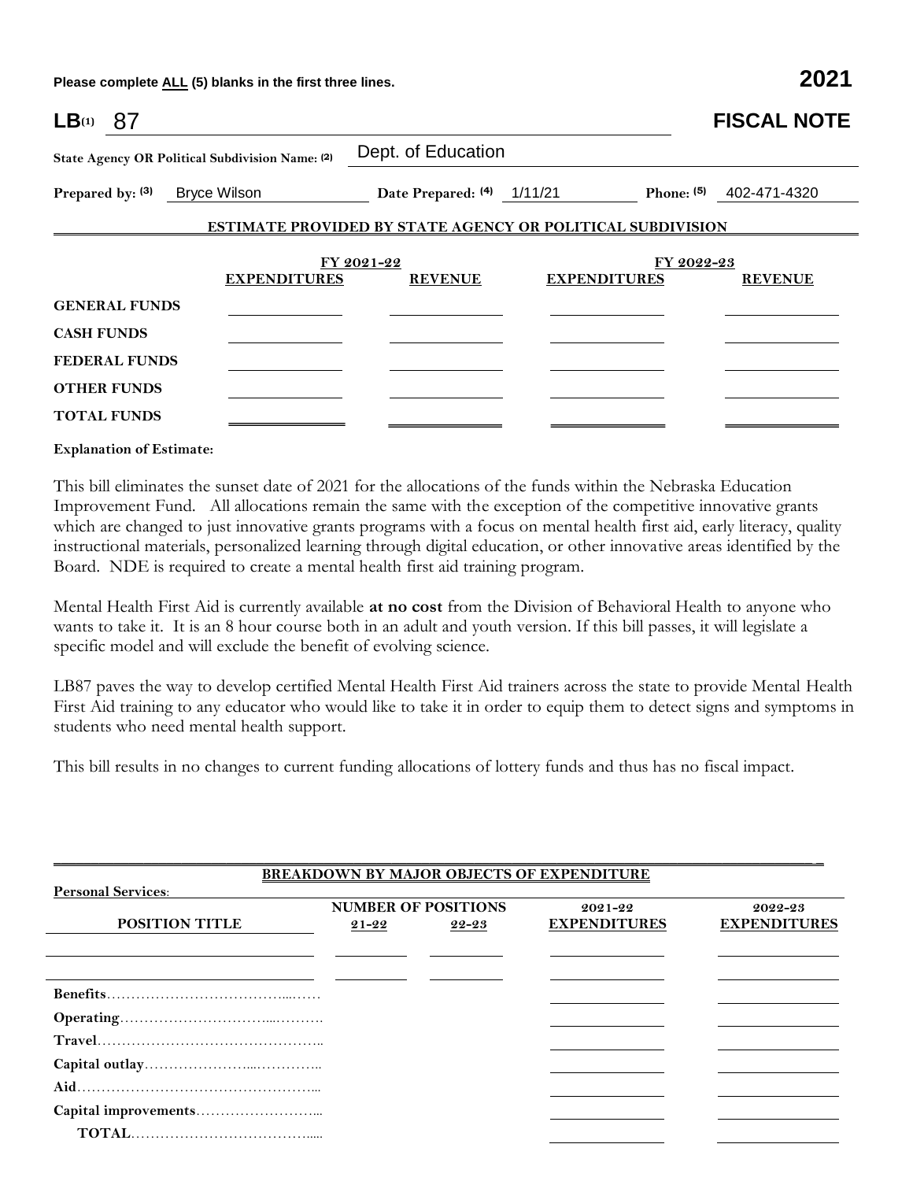**Please complete ALL (5) blanks in the first three lines. 2021**

| $LB(1)$ 87           |                                                 |                            |                                                                   | <b>FISCAL NOTE</b>      |
|----------------------|-------------------------------------------------|----------------------------|-------------------------------------------------------------------|-------------------------|
|                      | State Agency OR Political Subdivision Name: (2) | Dept. of Education         |                                                                   |                         |
| Prepared by: (3)     | Bryce Wilson                                    | Date Prepared: (4) 1/11/21 |                                                                   | Phone: (5) 402-471-4320 |
|                      |                                                 |                            | <b>ESTIMATE PROVIDED BY STATE AGENCY OR POLITICAL SUBDIVISION</b> |                         |
|                      |                                                 | FY 2021-22                 |                                                                   | FY 2022-23              |
|                      | <b>EXPENDITURES</b>                             | <b>REVENUE</b>             | <b>EXPENDITURES</b>                                               | <b>REVENUE</b>          |
| <b>GENERAL FUNDS</b> |                                                 |                            |                                                                   |                         |
| <b>CASH FUNDS</b>    |                                                 |                            |                                                                   |                         |
| <b>FEDERAL FUNDS</b> |                                                 |                            |                                                                   |                         |
| <b>OTHER FUNDS</b>   |                                                 |                            |                                                                   |                         |
| <b>TOTAL FUNDS</b>   |                                                 |                            |                                                                   |                         |

#### **Explanation of Estimate:**

This bill eliminates the sunset date of 2021 for the allocations of the funds within the Nebraska Education Improvement Fund. All allocations remain the same with the exception of the competitive innovative grants which are changed to just innovative grants programs with a focus on mental health first aid, early literacy, quality instructional materials, personalized learning through digital education, or other innovative areas identified by the Board. NDE is required to create a mental health first aid training program.

Mental Health First Aid is currently available **at no cost** from the Division of Behavioral Health to anyone who wants to take it. It is an 8 hour course both in an adult and youth version. If this bill passes, it will legislate a specific model and will exclude the benefit of evolving science.

LB87 paves the way to develop certified Mental Health First Aid trainers across the state to provide Mental Health First Aid training to any educator who would like to take it in order to equip them to detect signs and symptoms in students who need mental health support.

This bill results in no changes to current funding allocations of lottery funds and thus has no fiscal impact.

|                           |           |                                     | <b>BREAKDOWN BY MAJOR OBJECTS OF EXPENDITURE</b> |                                |
|---------------------------|-----------|-------------------------------------|--------------------------------------------------|--------------------------------|
| <b>Personal Services:</b> |           |                                     |                                                  |                                |
| <b>POSITION TITLE</b>     | $21 - 22$ | <b>NUMBER OF POSITIONS</b><br>22-23 | $2021 - 22$<br><b>EXPENDITURES</b>               | 2022-23<br><b>EXPENDITURES</b> |
|                           |           |                                     |                                                  |                                |
|                           |           |                                     |                                                  |                                |
|                           |           |                                     |                                                  |                                |
|                           |           |                                     |                                                  |                                |
|                           |           |                                     |                                                  |                                |
|                           |           |                                     |                                                  |                                |
|                           |           |                                     |                                                  |                                |
|                           |           |                                     |                                                  |                                |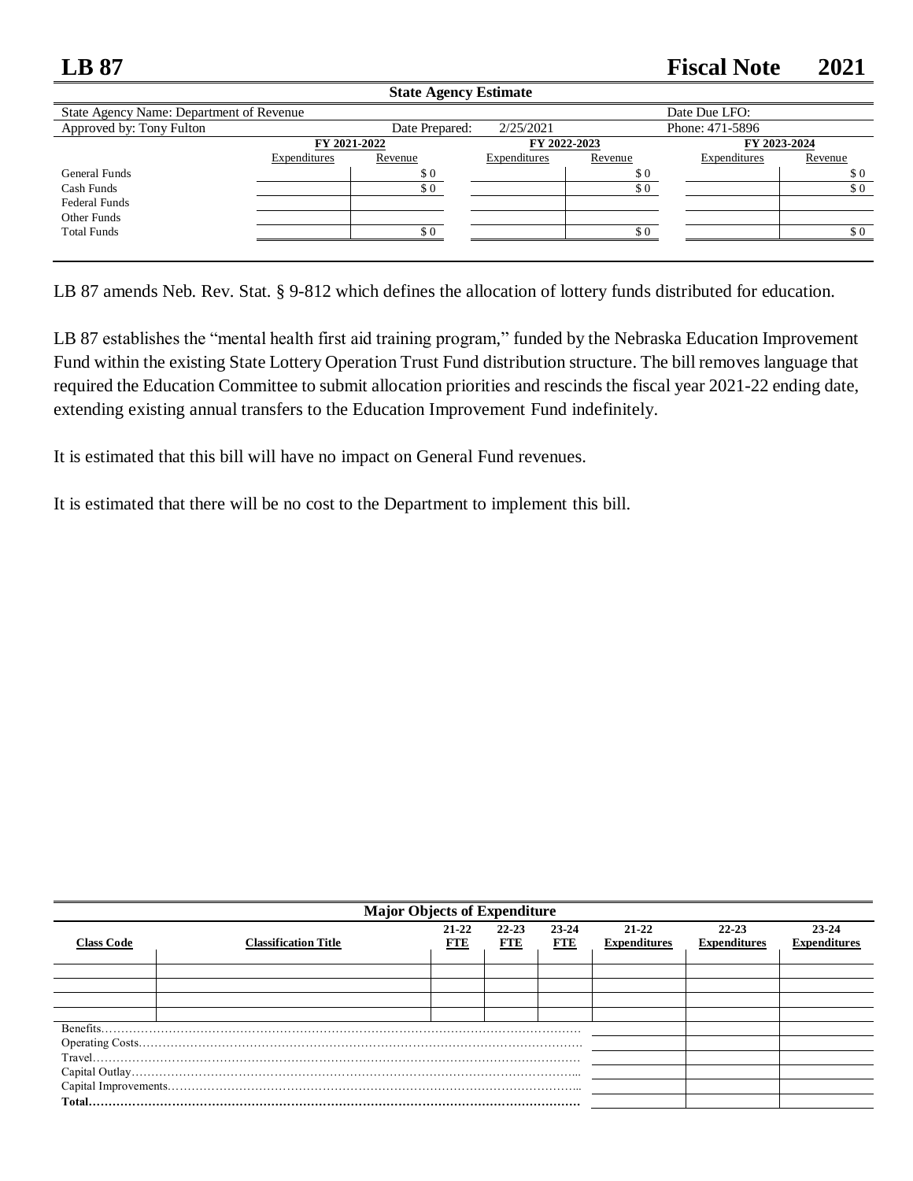# **LB 87 Fiscal Note 2021**

|                                          |              | State Agency Estimate       |                              |         |                 |         |
|------------------------------------------|--------------|-----------------------------|------------------------------|---------|-----------------|---------|
| State Agency Name: Department of Revenue |              |                             |                              |         | Date Due LFO:   |         |
| Approved by: Tony Fulton                 |              | Date Prepared:              | 2/25/2021                    |         | Phone: 471-5896 |         |
|                                          | FY 2021-2022 |                             | FY 2022-2023<br>FY 2023-2024 |         |                 |         |
|                                          | Expenditures | Revenue                     | Expenditures                 | Revenue | Expenditures    | Revenue |
| General Funds                            |              | $\boldsymbol{\mathsf{S}}$ 0 |                              | \$0     |                 | \$0     |
| Cash Funds                               |              | \$0                         |                              | \$0     |                 | \$0     |
| <b>Federal Funds</b>                     |              |                             |                              |         |                 |         |
| Other Funds                              |              |                             |                              |         |                 |         |
| <b>Total Funds</b>                       |              | \$0                         |                              | \$0     |                 | \$0     |
|                                          |              |                             |                              |         |                 |         |
|                                          |              |                             |                              |         |                 |         |

**State Agency Estimate**

LB 87 amends Neb. Rev. Stat. § 9-812 which defines the allocation of lottery funds distributed for education.

LB 87 establishes the "mental health first aid training program," funded by the Nebraska Education Improvement Fund within the existing State Lottery Operation Trust Fund distribution structure. The bill removes language that required the Education Committee to submit allocation priorities and rescinds the fiscal year 2021-22 ending date, extending existing annual transfers to the Education Improvement Fund indefinitely.

It is estimated that this bill will have no impact on General Fund revenues.

It is estimated that there will be no cost to the Department to implement this bill.

|                   | <b>Major Objects of Expenditure</b> |                         |                         |                         |                              |                                  |                                  |  |  |
|-------------------|-------------------------------------|-------------------------|-------------------------|-------------------------|------------------------------|----------------------------------|----------------------------------|--|--|
| <b>Class Code</b> | <b>Classification Title</b>         | $21 - 22$<br><b>FTE</b> | $22 - 23$<br><b>FTE</b> | $23 - 24$<br><b>FTE</b> | 21-22<br><b>Expenditures</b> | $22 - 23$<br><b>Expenditures</b> | $23 - 24$<br><b>Expenditures</b> |  |  |
|                   |                                     |                         |                         |                         |                              |                                  |                                  |  |  |
|                   |                                     |                         |                         |                         |                              |                                  |                                  |  |  |
|                   |                                     |                         |                         |                         |                              |                                  |                                  |  |  |
|                   |                                     |                         |                         |                         |                              |                                  |                                  |  |  |
| Benefits.         |                                     |                         |                         |                         |                              |                                  |                                  |  |  |
|                   |                                     |                         |                         |                         |                              |                                  |                                  |  |  |
|                   |                                     |                         |                         |                         |                              |                                  |                                  |  |  |
|                   |                                     |                         |                         |                         |                              |                                  |                                  |  |  |
|                   |                                     |                         |                         |                         |                              |                                  |                                  |  |  |
|                   |                                     |                         |                         |                         |                              |                                  |                                  |  |  |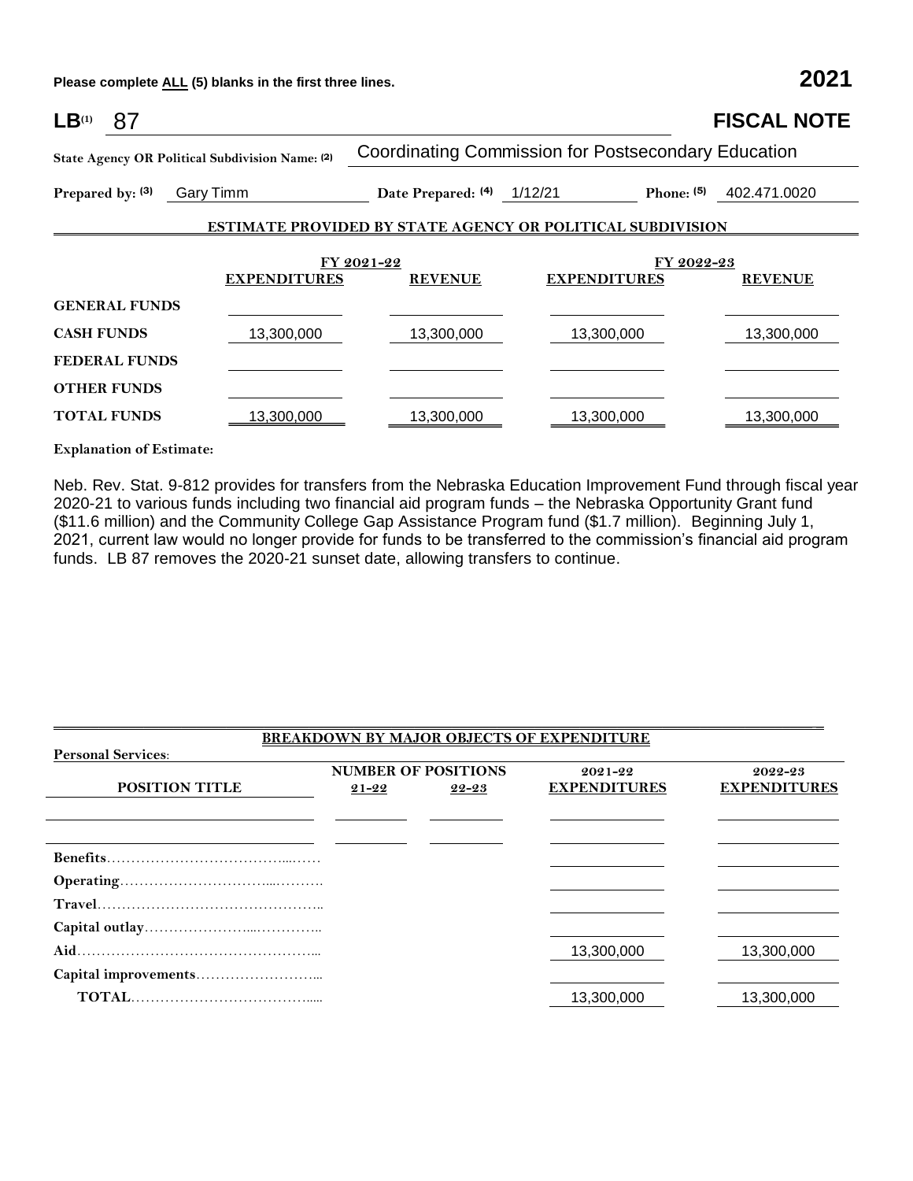**Please complete ALL (5) blanks in the first three lines. 2021**

| $LB^{(1)}$<br>87                                |                     |                            |                                                                   | <b>FISCAL NOTE</b> |
|-------------------------------------------------|---------------------|----------------------------|-------------------------------------------------------------------|--------------------|
| State Agency OR Political Subdivision Name: (2) |                     |                            | <b>Coordinating Commission for Postsecondary Education</b>        |                    |
| Prepared by: (3)<br>Gary Timm                   |                     | Date Prepared: (4) 1/12/21 | Phone: $(5)$                                                      | 402.471.0020       |
|                                                 |                     |                            | <b>ESTIMATE PROVIDED BY STATE AGENCY OR POLITICAL SUBDIVISION</b> |                    |
|                                                 |                     | FY 2021-22                 | FY 2022-23                                                        |                    |
|                                                 | <b>EXPENDITURES</b> | <b>REVENUE</b>             | <b>EXPENDITURES</b>                                               | <b>REVENUE</b>     |
| <b>GENERAL FUNDS</b>                            |                     |                            |                                                                   |                    |
| <b>CASH FUNDS</b>                               | 13,300,000          | 13,300,000                 | 13,300,000                                                        | 13,300,000         |
| <b>FEDERAL FUNDS</b>                            |                     |                            |                                                                   |                    |
| <b>OTHER FUNDS</b>                              |                     |                            |                                                                   |                    |
| <b>TOTAL FUNDS</b>                              | 13,300,000          | 13,300,000                 | 13,300,000                                                        | 13,300,000         |

### **Explanation of Estimate:**

Neb. Rev. Stat. 9-812 provides for transfers from the Nebraska Education Improvement Fund through fiscal year 2020-21 to various funds including two financial aid program funds – the Nebraska Opportunity Grant fund (\$11.6 million) and the Community College Gap Assistance Program fund (\$1.7 million). Beginning July 1, 2021, current law would no longer provide for funds to be transferred to the commission's financial aid program funds. LB 87 removes the 2020-21 sunset date, allowing transfers to continue.

### **BREAKDOWN BY MAJOR OBJECTS OF EXPENDITURE Personal Services**: **POSITION TITLE NUMBER OF POSITIONS 21-22 22-23 2021-22 EXPENDITURES 2022-23 EXPENDITURES Benefits**………………………………...…… **Operating**…………………………...………. **Travel**……………………………………….. **Capital outlay**…………………...………….. **Aid**…………………………………………... 13,300,000 13,300,000 **Capital improvements**……………………...  **TOTAL**………………………………..... 13,300,000 13,300,000

 $\Box$